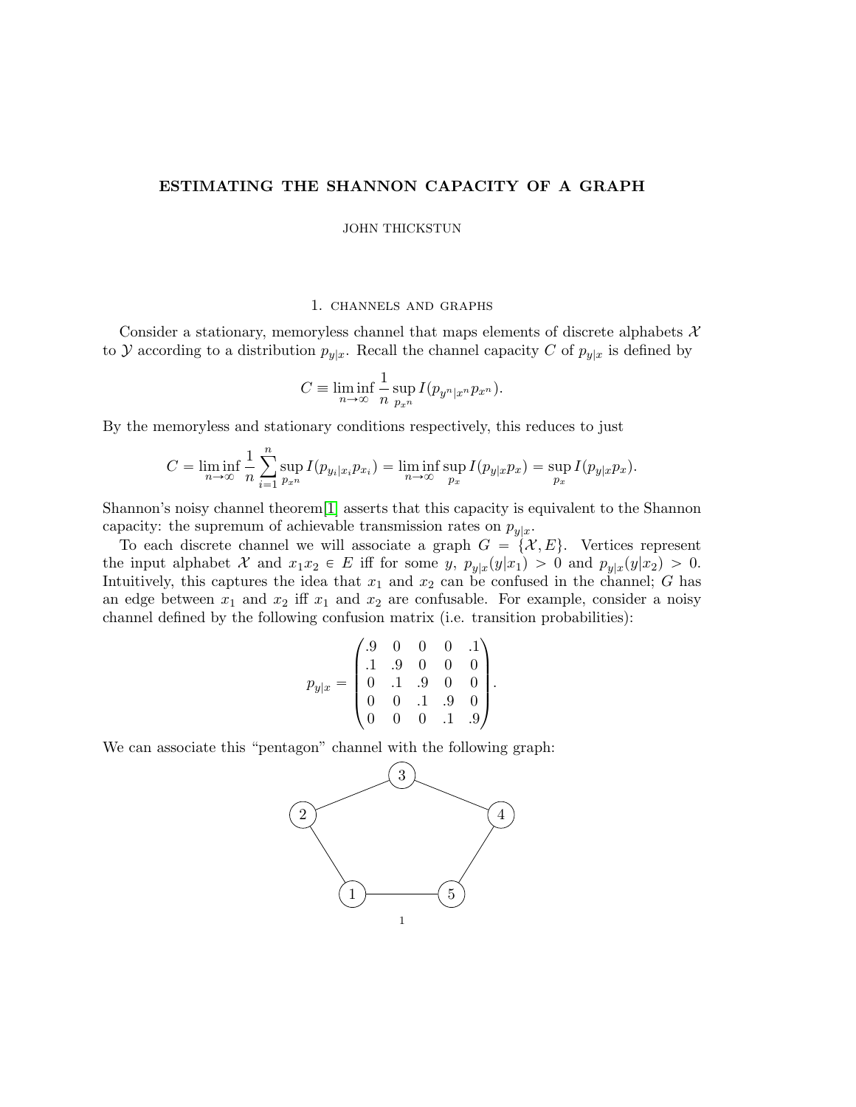# ESTIMATING THE SHANNON CAPACITY OF A GRAPH

JOHN THICKSTUN

### 1. channels and graphs

Consider a stationary, memoryless channel that maps elements of discrete alphabets  $\mathcal{X}$ to Y according to a distribution  $p_{y|x}$ . Recall the channel capacity C of  $p_{y|x}$  is defined by

$$
C \equiv \liminf_{n \to \infty} \frac{1}{n} \sup_{p_{x^n}} I(p_{y^n|x^n} p_{x^n}).
$$

By the memoryless and stationary conditions respectively, this reduces to just

$$
C = \liminf_{n \to \infty} \frac{1}{n} \sum_{i=1}^n \sup_{p_x} I(p_{y_i|x_i} p_{x_i}) = \liminf_{n \to \infty} \sup_{p_x} I(p_{y|x} p_x) = \sup_{p_x} I(p_{y|x} p_x).
$$

Shannon's noisy channel theorem[\[1\]](#page-6-0) asserts that this capacity is equivalent to the Shannon capacity: the supremum of achievable transmission rates on  $p_{y|x}$ .

To each discrete channel we will associate a graph  $G = \{X, E\}$ . Vertices represent the input alphabet X and  $x_1x_2 \in E$  iff for some y,  $p_{y|x}(y|x_1) > 0$  and  $p_{y|x}(y|x_2) > 0$ . Intuitively, this captures the idea that  $x_1$  and  $x_2$  can be confused in the channel; G has an edge between  $x_1$  and  $x_2$  iff  $x_1$  and  $x_2$  are confusable. For example, consider a noisy channel defined by the following confusion matrix (i.e. transition probabilities): ¨ ˛

$$
p_{y|x} = \begin{pmatrix} .9 & 0 & 0 & 0 & .1 \\ .1 & .9 & 0 & 0 & 0 \\ 0 & .1 & .9 & 0 & 0 \\ 0 & 0 & .1 & .9 & 0 \\ 0 & 0 & 0 & .1 & .9 \end{pmatrix}.
$$

We can associate this "pentagon" channel with the following graph:

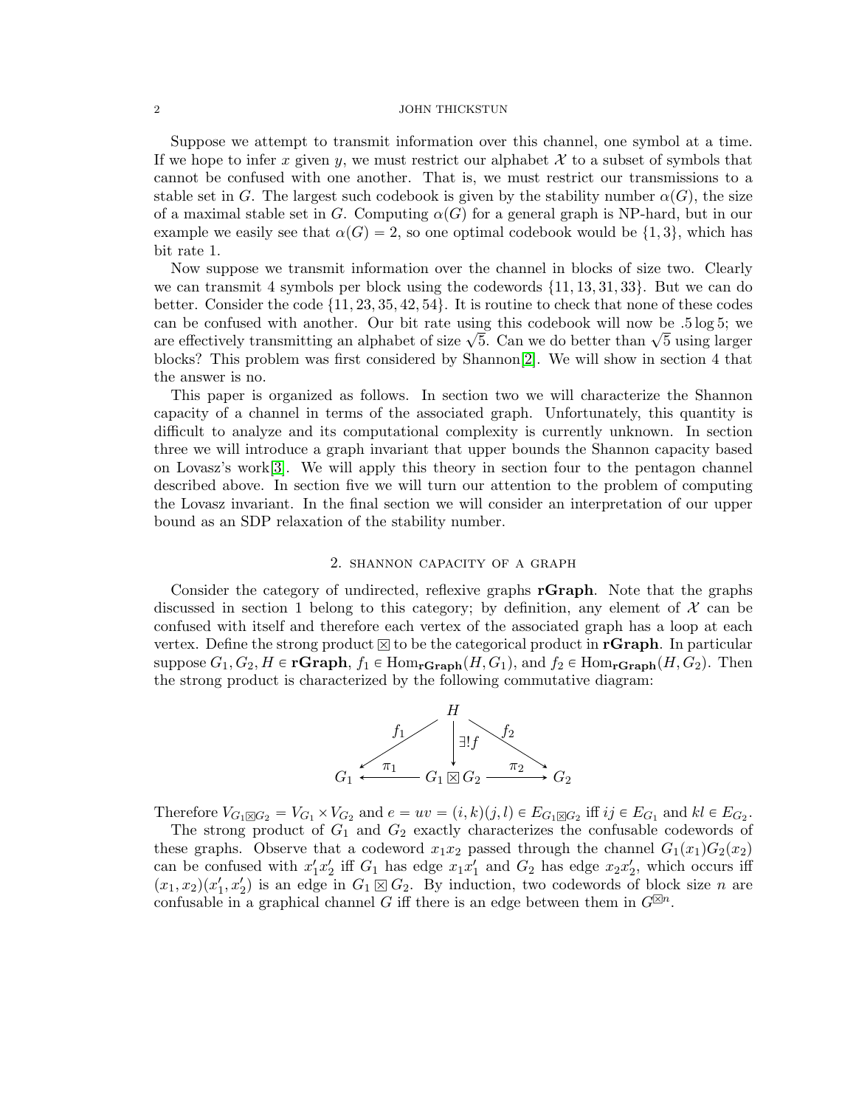#### 2 JOHN THICKSTUN

Suppose we attempt to transmit information over this channel, one symbol at a time. If we hope to infer x given y, we must restrict our alphabet  $\mathcal X$  to a subset of symbols that cannot be confused with one another. That is, we must restrict our transmissions to a stable set in G. The largest such codebook is given by the stability number  $\alpha(G)$ , the size of a maximal stable set in G. Computing  $\alpha(G)$  for a general graph is NP-hard, but in our example we easily see that  $\alpha(G) = 2$ , so one optimal codebook would be  $\{1, 3\}$ , which has bit rate 1.

Now suppose we transmit information over the channel in blocks of size two. Clearly we can transmit 4 symbols per block using the codewords  $\{11, 13, 31, 33\}$ . But we can do better. Consider the code  $\{11, 23, 35, 42, 54\}$ . It is routine to check that none of these codes can be confused with another. Our bit rate using this codebook will now be .5 log 5; we can be comused with another. Our bit rate using this codebook will how be .5 log 5; we<br>are effectively transmitting an alphabet of size  $\sqrt{5}$ . Can we do better than  $\sqrt{5}$  using larger blocks? This problem was first considered by Shannon[\[2\]](#page-6-1). We will show in section 4 that the answer is no.

This paper is organized as follows. In section two we will characterize the Shannon capacity of a channel in terms of the associated graph. Unfortunately, this quantity is difficult to analyze and its computational complexity is currently unknown. In section three we will introduce a graph invariant that upper bounds the Shannon capacity based on Lovasz's work[\[3\]](#page-6-2). We will apply this theory in section four to the pentagon channel described above. In section five we will turn our attention to the problem of computing the Lovasz invariant. In the final section we will consider an interpretation of our upper bound as an SDP relaxation of the stability number.

# 2. shannon capacity of a graph

Consider the category of undirected, reflexive graphs rGraph. Note that the graphs discussed in section 1 belong to this category; by definition, any element of  $\mathcal X$  can be confused with itself and therefore each vertex of the associated graph has a loop at each vertex. Define the strong product  $\boxtimes$  to be the categorical product in **rGraph**. In particular suppose  $G_1, G_2, H \in \mathbf{rGraph}, f_1 \in \text{Hom}_{\mathbf{rGraph}}(H, G_1)$ , and  $f_2 \in \text{Hom}_{\mathbf{rGraph}}(H, G_2)$ . Then the strong product is characterized by the following commutative diagram:



Therefore  $V_{G_1 \boxtimes G_2} = V_{G_1} \times V_{G_2}$  and  $e = uv = (i, k)(j, l) \in E_{G_1 \boxtimes G_2}$  iff  $ij \in E_{G_1}$  and  $kl \in E_{G_2}$ .

The strong product of  $G_1$  and  $G_2$  exactly characterizes the confusable codewords of these graphs. Observe that a codeword  $x_1x_2$  passed through the channel  $G_1(x_1)G_2(x_2)$ can be confused with  $x'_1x'_2$  iff  $G_1$  has edge  $x_1x'_1$  and  $G_2$  has edge  $x_2x'_2$ , which occurs iff  $(x_1, x_2)(x_1', x_2')$  is an edge in  $G_1 \boxtimes G_2$ . By induction, two codewords of block size n are confusable in a graphical channel G iff there is an edge between them in  $G^{\boxtimes n}$ .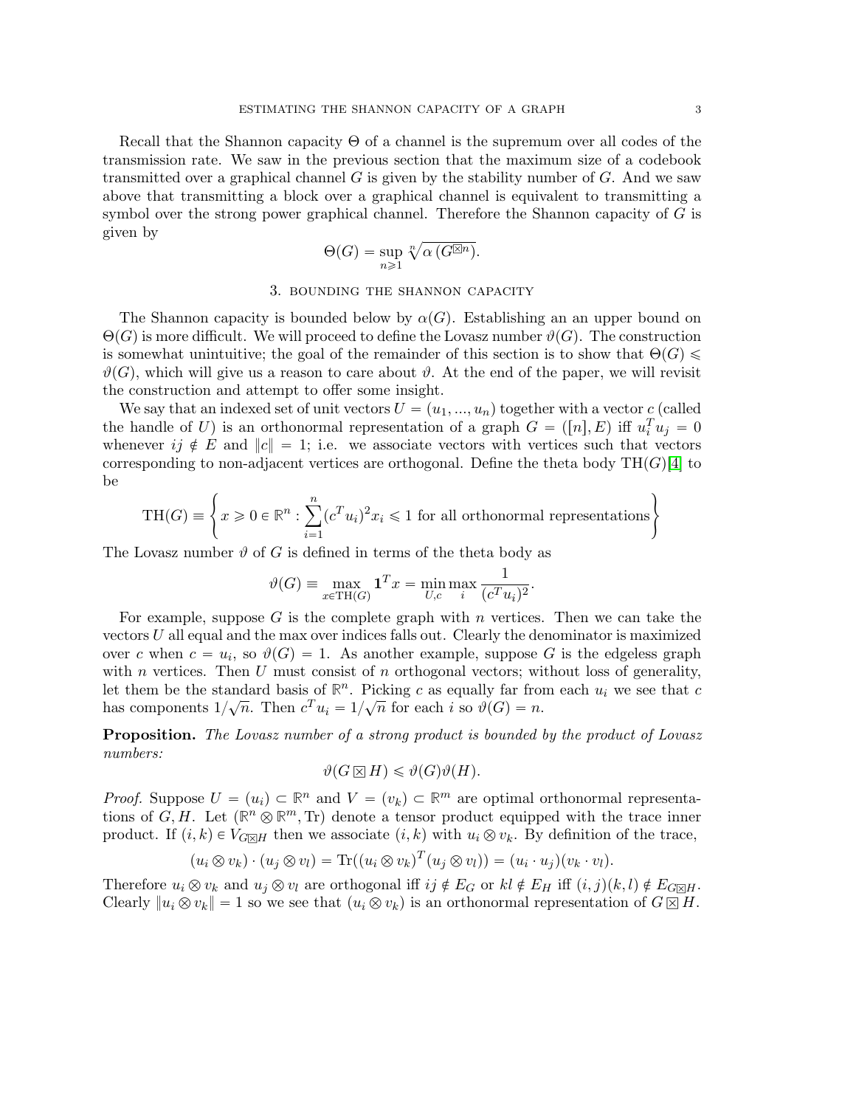Recall that the Shannon capacity Θ of a channel is the supremum over all codes of the transmission rate. We saw in the previous section that the maximum size of a codebook transmitted over a graphical channel  $G$  is given by the stability number of  $G$ . And we saw above that transmitting a block over a graphical channel is equivalent to transmitting a symbol over the strong power graphical channel. Therefore the Shannon capacity of  $G$  is given by

$$
\Theta(G) = \sup_{n \geq 1} \sqrt[n]{\alpha(G^{\boxtimes n})}.
$$

# 3. bounding the shannon capacity

The Shannon capacity is bounded below by  $\alpha(G)$ . Establishing an an upper bound on  $\Theta(G)$  is more difficult. We will proceed to define the Lovasz number  $\vartheta(G)$ . The construction is somewhat unintuitive; the goal of the remainder of this section is to show that  $\Theta(G)$  $\vartheta(G)$ , which will give us a reason to care about  $\vartheta$ . At the end of the paper, we will revisit the construction and attempt to offer some insight.

We say that an indexed set of unit vectors  $U = (u_1, ..., u_n)$  together with a vector c (called the handle of U) is an orthonormal representation of a graph  $G = ([n], E)$  iff  $u_i^T u_j = 0$ whenever  $ij \notin E$  and  $||c|| = 1$ ; i.e. we associate vectors with vertices such that vectors corresponding to non-adjacent vertices are orthogonal. Define the theta body  $TH(G)[4]$  $TH(G)[4]$  to be

$$
\text{TH}(G) \equiv \left\{ x \ge 0 \in \mathbb{R}^n : \sum_{i=1}^n (c^T u_i)^2 x_i \le 1 \text{ for all orthonormal representations} \right\}
$$

The Lovasz number  $\vartheta$  of G is defined in terms of the theta body as

$$
\vartheta(G) \equiv \max_{x \in \text{TH}(G)} \mathbf{1}^T x = \min_{U,c} \max_{i} \frac{1}{(c^T u_i)^2}.
$$

For example, suppose G is the complete graph with n vertices. Then we can take the vectors  $U$  all equal and the max over indices falls out. Clearly the denominator is maximized over c when  $c = u_i$ , so  $\vartheta(G) = 1$ . As another example, suppose G is the edgeless graph with n vertices. Then  $U$  must consist of n orthogonal vectors; without loss of generality, let them be the standard basis of  $\mathbb{R}^n$ . Picking c as equally far from each  $u_i$  we see that c has components  $1/\sqrt{n}$ . Then  $c^T u_i = 1/\sqrt{n}$  for each i so  $\vartheta(G) = n$ .

**Proposition.** The Lovasz number of a strong product is bounded by the product of Lovasz numbers:

$$
\vartheta(G \boxtimes H) \leq \vartheta(G)\vartheta(H).
$$

*Proof.* Suppose  $U = (u_i) \subset \mathbb{R}^n$  and  $V = (v_k) \subset \mathbb{R}^m$  are optimal orthonormal representations of  $G, H$ . Let  $(\mathbb{R}^n \otimes \mathbb{R}^m, T_r)$  denote a tensor product equipped with the trace inner product. If  $(i, k) \in V_{G \boxtimes H}$  then we associate  $(i, k)$  with  $u_i \otimes v_k$ . By definition of the trace,

$$
(u_i \otimes v_k) \cdot (u_j \otimes v_l) = \text{Tr}((u_i \otimes v_k)^T (u_j \otimes v_l)) = (u_i \cdot u_j)(v_k \cdot v_l).
$$

Therefore  $u_i \otimes v_k$  and  $u_j \otimes v_l$  are orthogonal iff  $ij \notin E_G$  or  $kl \notin E_H$  iff  $(i, j)(k, l) \notin E_{G \boxtimes H}$ . Clearly  $||u_i \otimes v_k|| = 1$  so we see that  $(u_i \otimes v_k)$  is an orthonormal representation of  $G \boxtimes H$ .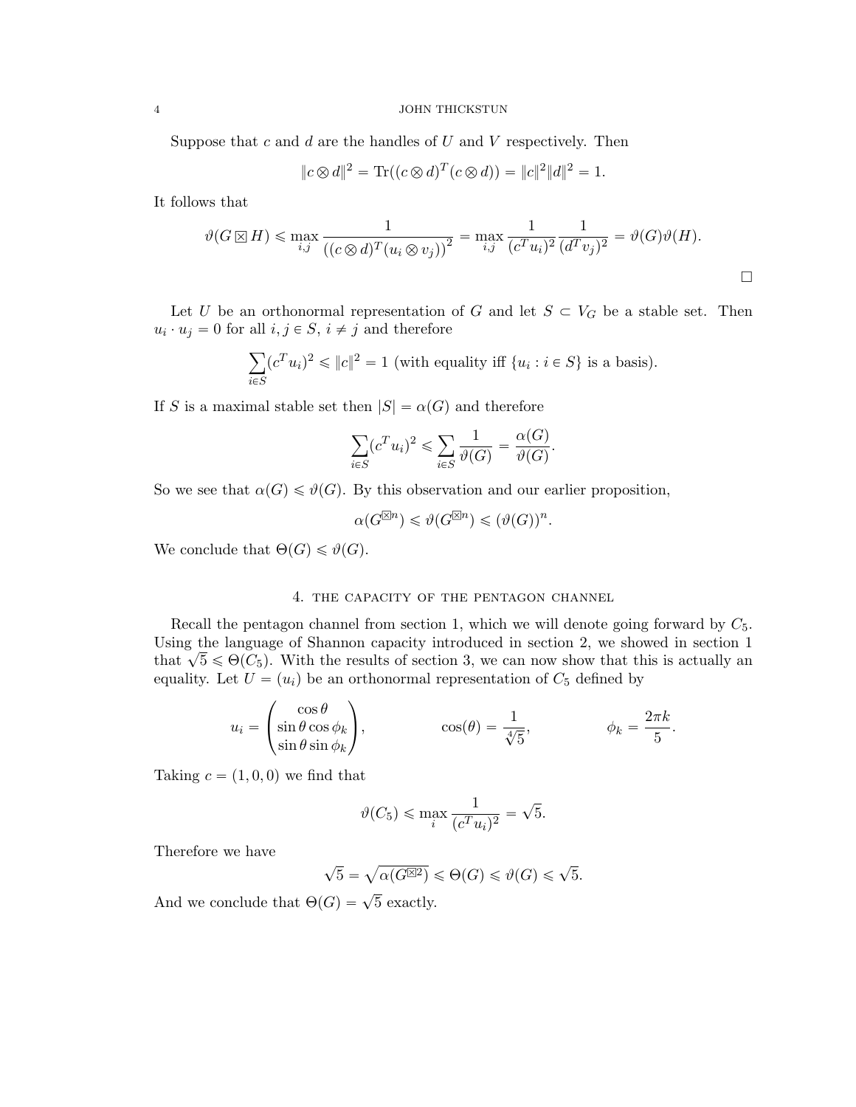#### 4 JOHN THICKSTUN

Suppose that  $c$  and  $d$  are the handles of  $U$  and  $V$  respectively. Then

$$
||c \otimes d||^2 = \text{Tr}((c \otimes d)^T (c \otimes d)) = ||c||^2 ||d||^2 = 1.
$$

It follows that

$$
\vartheta(G \boxtimes H) \le \max_{i,j} \frac{1}{\left( (c \otimes d)^T (u_i \otimes v_j) \right)^2} = \max_{i,j} \frac{1}{(c^T u_i)^2} \frac{1}{(d^T v_j)^2} = \vartheta(G)\vartheta(H).
$$

Let U be an orthonormal representation of G and let  $S \subset V_G$  be a stable set. Then  $u_i \cdot u_j = 0$  for all  $i, j \in S$ ,  $i \neq j$  and therefore

$$
\sum_{i \in S} (c^T u_i)^2 \le ||c||^2 = 1
$$
 (with equality iff  $\{u_i : i \in S\}$  is a basis).

If S is a maximal stable set then  $|S| = \alpha(G)$  and therefore

$$
\sum_{i \in S} (c^T u_i)^2 \leqslant \sum_{i \in S} \frac{1}{\vartheta(G)} = \frac{\alpha(G)}{\vartheta(G)}.
$$

So we see that  $\alpha(G) \leq \vartheta(G)$ . By this observation and our earlier proposition,

$$
\alpha(G^{\boxtimes n}) \leqslant \vartheta(G^{\boxtimes n}) \leqslant (\vartheta(G))^n.
$$

We conclude that  $\Theta(G) \leq \vartheta(G)$ .

# 4. the capacity of the pentagon channel

Recall the pentagon channel from section 1, which we will denote going forward by  $C_5$ . Using the language of Shannon capacity introduced in section 2, we showed in section 1 Using the language of shannon capacity introduced in section 2, we showed in section 1 that  $\sqrt{5} \le \Theta(C_5)$ . With the results of section 3, we can now show that this is actually an equality. Let  $U = (u_i)$  be an orthonormal representation of  $C_5$  defined by

$$
u_i = \begin{pmatrix} \cos \theta \\ \sin \theta \cos \phi_k \\ \sin \theta \sin \phi_k \end{pmatrix}, \qquad \cos(\theta) = \frac{1}{\sqrt[4]{5}}, \qquad \phi_k = \frac{2\pi k}{5}.
$$

Taking  $c = (1, 0, 0)$  we find that

$$
\vartheta(C_5)\leqslant \max_i \frac{1}{(c^Tu_i)^2}=\sqrt{5}.
$$

Therefore we have

$$
\sqrt{5} = \sqrt{\alpha(G^{\boxtimes 2})} \leq \Theta(G) \leq \vartheta(G) \leq \sqrt{5}.
$$

And we conclude that  $\Theta(G) = \sqrt{5}$  exactly.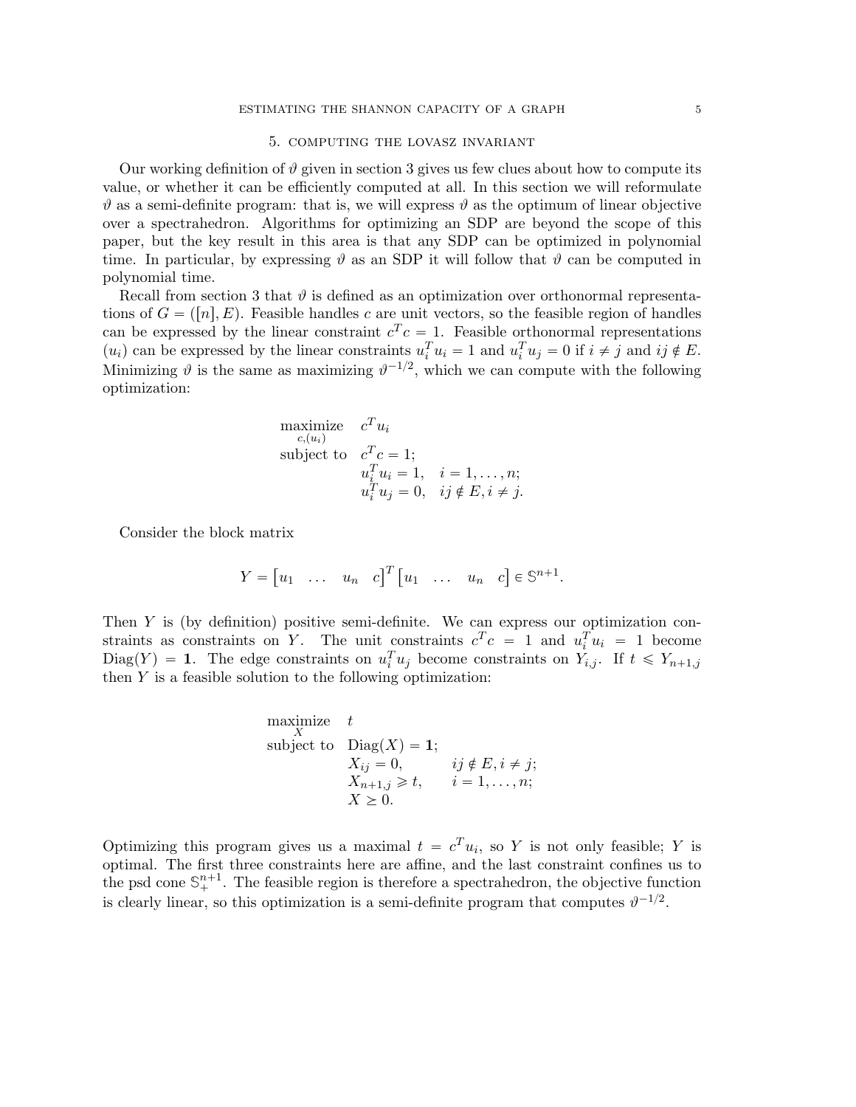### 5. computing the lovasz invariant

Our working definition of  $\vartheta$  given in section 3 gives us few clues about how to compute its value, or whether it can be efficiently computed at all. In this section we will reformulate  $\vartheta$  as a semi-definite program: that is, we will express  $\vartheta$  as the optimum of linear objective over a spectrahedron. Algorithms for optimizing an SDP are beyond the scope of this paper, but the key result in this area is that any SDP can be optimized in polynomial time. In particular, by expressing  $\vartheta$  as an SDP it will follow that  $\vartheta$  can be computed in polynomial time.

Recall from section 3 that  $\vartheta$  is defined as an optimization over orthonormal representations of  $G = ([n], E)$ . Feasible handles c are unit vectors, so the feasible region of handles can be expressed by the linear constraint  $c^T c = 1$ . Feasible orthonormal representations  $(u_i)$  can be expressed by the linear constraints  $u_i^T u_i = 1$  and  $u_i^T u_j = 0$  if  $i \neq j$  and  $ij \notin E$ . Minimizing  $\vartheta$  is the same as maximizing  $\vartheta^{-1/2}$ , which we can compute with the following optimization:

maximize 
$$
c^T u_i
$$
  
\nsubject to  $c^T c = 1$ ;  
\n $u_i^T u_i = 1, \quad i = 1, ..., n$ ;  
\n $u_i^T u_j = 0, \quad ij \notin E, i \neq j$ .

Consider the block matrix

$$
Y = \begin{bmatrix} u_1 & \dots & u_n & c \end{bmatrix}^T \begin{bmatrix} u_1 & \dots & u_n & c \end{bmatrix} \in \mathbb{S}^{n+1}.
$$

Then  $Y$  is (by definition) positive semi-definite. We can express our optimization constraints as constraints on Y. The unit constraints  $c^T c = 1$  and  $u_i^T u_i = 1$  become  $Diag(Y) = 1$ . The edge constraints on  $u_i^T u_j$  become constraints on  $Y_{i,j}$ . If  $t \le Y_{n+1,j}$ then  $Y$  is a feasible solution to the following optimization:

maximize 
$$
t
$$
  
\nsubject to  $\text{Diag}(X) = 1$ ;  
\n $X_{ij} = 0$ ,  $ij \notin E, i \neq j$ ;  
\n $X_{n+1,j} \geq t$ ,  $i = 1,..., n$ ;  
\n $X \geq 0$ .

Optimizing this program gives us a maximal  $t = c^T u_i$ , so Y is not only feasible; Y is optimal. The first three constraints here are affine, and the last constraint confines us to the psd cone  $\mathbb{S}^{n+1}_+$ . The feasible region is therefore a spectrahedron, the objective function is clearly linear, so this optimization is a semi-definite program that computes  $\vartheta^{-1/2}$ .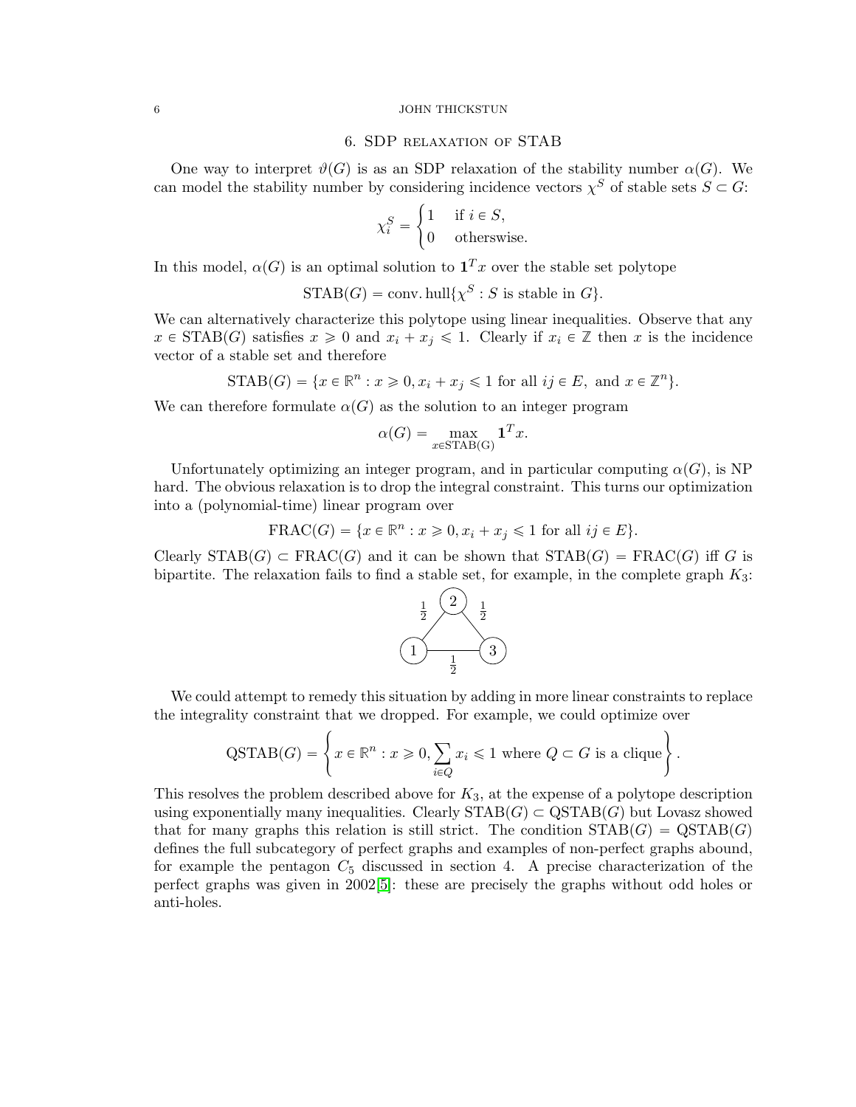#### 6 JOHN THICKSTUN

### 6. SDP relaxation of STAB

One way to interpret  $\vartheta(G)$  is as an SDP relaxation of the stability number  $\alpha(G)$ . We can model the stability number by considering incidence vectors  $\chi^S$  of stable sets  $S \subset G$ :

$$
\chi_i^S = \begin{cases} 1 & \text{if } i \in S, \\ 0 & \text{otherwise.} \end{cases}
$$

In this model,  $\alpha(G)$  is an optimal solution to  $\mathbf{1}^T x$  over the stable set polytope

$$
\mathrm{STAB}(G) = \text{conv. hull}\{\chi^S : S \text{ is stable in } G\}.
$$

We can alternatively characterize this polytope using linear inequalities. Observe that any  $x \in \text{STAB}(G)$  satisfies  $x \geq 0$  and  $x_i + x_j \leq 1$ . Clearly if  $x_i \in \mathbb{Z}$  then x is the incidence vector of a stable set and therefore

 $STAB(G) = \{x \in \mathbb{R}^n : x \geq 0, x_i + x_j \leq 1 \text{ for all } ij \in E, \text{ and } x \in \mathbb{Z}^n\}.$ 

We can therefore formulate  $\alpha(G)$  as the solution to an integer program

$$
\alpha(G) = \max_{x \in \text{STAB}(G)} \mathbf{1}^T x.
$$

Unfortunately optimizing an integer program, and in particular computing  $\alpha(G)$ , is NP hard. The obvious relaxation is to drop the integral constraint. This turns our optimization into a (polynomial-time) linear program over

$$
\operatorname{FRAC}(G) = \{ x \in \mathbb{R}^n : x \geq 0, x_i + x_j \leq 1 \text{ for all } ij \in E \}.
$$

Clearly  $STAB(G) \subset FRAC(G)$  and it can be shown that  $STAB(G) = FRAC(G)$  iff G is bipartite. The relaxation fails to find a stable set, for example, in the complete graph  $K_3$ :



We could attempt to remedy this situation by adding in more linear constraints to replace the integrality constraint that we dropped. For example, we could optimize over

$$
\text{QSTAB}(G) = \left\{ x \in \mathbb{R}^n : x \geq 0, \sum_{i \in Q} x_i \leq 1 \text{ where } Q \subset G \text{ is a clique} \right\}.
$$

This resolves the problem described above for  $K_3$ , at the expense of a polytope description using exponentially many inequalities. Clearly  $STAB(G) \subset \text{QSTAB}(G)$  but Lovasz showed that for many graphs this relation is still strict. The condition  $STAB(G) = \text{QSTAB}(G)$ defines the full subcategory of perfect graphs and examples of non-perfect graphs abound, for example the pentagon  $C_5$  discussed in section 4. A precise characterization of the perfect graphs was given in 2002[\[5\]](#page-6-4): these are precisely the graphs without odd holes or anti-holes.